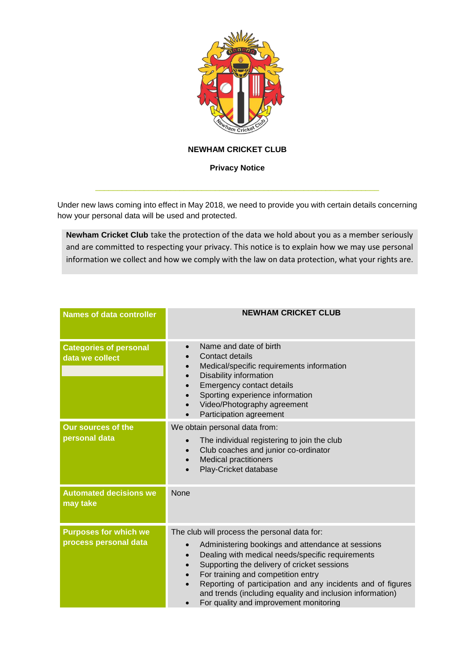

## **NEWHAM CRICKET CLUB**

**Privacy Notice**

\_\_\_\_\_\_\_\_\_\_\_\_\_\_\_\_\_\_\_\_\_\_\_\_\_\_\_\_\_\_\_\_\_\_\_\_\_\_\_\_\_\_\_\_\_\_\_\_\_\_\_\_\_\_\_\_\_\_\_\_\_\_\_\_

Under new laws coming into effect in May 2018, we need to provide you with certain details concerning how your personal data will be used and protected.

**Newham Cricket Club** take the protection of the data we hold about you as a member seriously and are committed to respecting your privacy. This notice is to explain how we may use personal information we collect and how we comply with the law on data protection, what your rights are.

| <b>Names of data controller</b>                       | <b>NEWHAM CRICKET CLUB</b>                                                                                                                                                                                                                                                                                                                                                                                                                                                        |
|-------------------------------------------------------|-----------------------------------------------------------------------------------------------------------------------------------------------------------------------------------------------------------------------------------------------------------------------------------------------------------------------------------------------------------------------------------------------------------------------------------------------------------------------------------|
| <b>Categories of personal</b><br>data we collect      | Name and date of birth<br>$\bullet$<br>Contact details<br>Medical/specific requirements information<br>$\bullet$<br>Disability information<br>$\bullet$<br>Emergency contact details<br>$\bullet$<br>Sporting experience information<br>$\bullet$<br>Video/Photography agreement<br>$\bullet$<br>Participation agreement<br>$\bullet$                                                                                                                                             |
| <b>Our sources of the</b><br>personal data            | We obtain personal data from:<br>The individual registering to join the club<br>Club coaches and junior co-ordinator<br>$\bullet$<br><b>Medical practitioners</b><br>$\bullet$<br>Play-Cricket database<br>$\bullet$                                                                                                                                                                                                                                                              |
| <b>Automated decisions we</b><br>may take             | None                                                                                                                                                                                                                                                                                                                                                                                                                                                                              |
| <b>Purposes for which we</b><br>process personal data | The club will process the personal data for:<br>Administering bookings and attendance at sessions<br>Dealing with medical needs/specific requirements<br>$\bullet$<br>Supporting the delivery of cricket sessions<br>$\bullet$<br>For training and competition entry<br>$\bullet$<br>Reporting of participation and any incidents and of figures<br>$\bullet$<br>and trends (including equality and inclusion information)<br>For quality and improvement monitoring<br>$\bullet$ |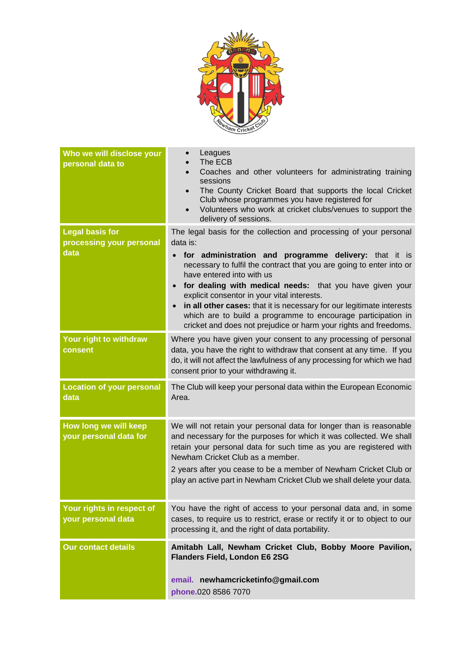

| Who we will disclose your<br>personal data to      | Leagues<br>The ECB<br>Coaches and other volunteers for administrating training<br>sessions<br>The County Cricket Board that supports the local Cricket<br>Club whose programmes you have registered for<br>Volunteers who work at cricket clubs/venues to support the<br>$\bullet$<br>delivery of sessions.                                                                                                                                                                                     |
|----------------------------------------------------|-------------------------------------------------------------------------------------------------------------------------------------------------------------------------------------------------------------------------------------------------------------------------------------------------------------------------------------------------------------------------------------------------------------------------------------------------------------------------------------------------|
| <b>Legal basis for</b><br>processing your personal | The legal basis for the collection and processing of your personal<br>data is:                                                                                                                                                                                                                                                                                                                                                                                                                  |
| data                                               | for administration and programme delivery: that it is<br>necessary to fulfil the contract that you are going to enter into or<br>have entered into with us<br>for dealing with medical needs: that you have given your<br>$\bullet$<br>explicit consentor in your vital interests.<br>in all other cases: that it is necessary for our legitimate interests<br>which are to build a programme to encourage participation in<br>cricket and does not prejudice or harm your rights and freedoms. |
| Your right to withdraw<br>consent                  | Where you have given your consent to any processing of personal<br>data, you have the right to withdraw that consent at any time. If you<br>do, it will not affect the lawfulness of any processing for which we had<br>consent prior to your withdrawing it.                                                                                                                                                                                                                                   |
| <b>Location of your personal</b><br>data           | The Club will keep your personal data within the European Economic<br>Area.                                                                                                                                                                                                                                                                                                                                                                                                                     |
| How long we will keep<br>your personal data for    | We will not retain your personal data for longer than is reasonable<br>and necessary for the purposes for which it was collected. We shall<br>retain your personal data for such time as you are registered with<br>Newham Cricket Club as a member.<br>2 years after you cease to be a member of Newham Cricket Club or<br>play an active part in Newham Cricket Club we shall delete your data.                                                                                               |
| Your rights in respect of<br>your personal data    | You have the right of access to your personal data and, in some<br>cases, to require us to restrict, erase or rectify it or to object to our<br>processing it, and the right of data portability.                                                                                                                                                                                                                                                                                               |
| <b>Our contact details</b>                         | Amitabh Lall, Newham Cricket Club, Bobby Moore Pavilion,<br><b>Flanders Field, London E6 2SG</b><br>email. newhamcricketinfo@gmail.com<br>phone.020 8586 7070                                                                                                                                                                                                                                                                                                                                   |